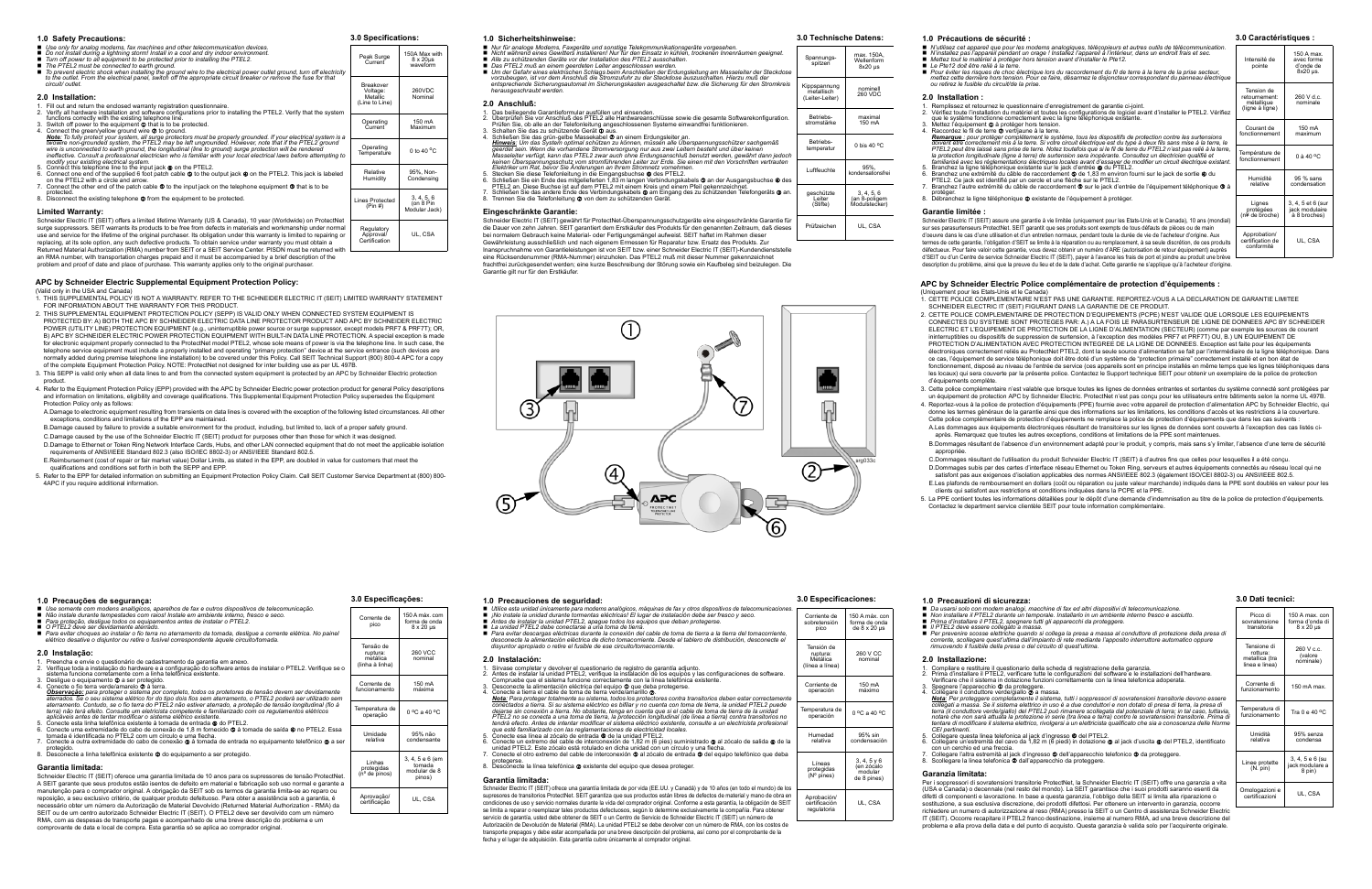## **APC by Schneider Electric Supplemental Equipment Protection Policy:**

(Valid only in the USA and Canada) 1. THIS SUPPLEMENTAL POLICY IS NOT A WARRANTY. REFER TO THE SCHNEIDER ELECTRIC IT (SEIT) LIMITED WARRANTY STATEMENT

- FOR INFORMATION ABOUT THE WARRANTY FOR THIS PRODUCT.
- 2. THIS SUPPLEMENTAL EQUIPMENT PROTECTION POLICY (SEPP) IS VALID ONLY WHEN CONNECTED SYSTEM EQUIPMENT IS PROTECTED BY: A) BOTH THE APC BY SCHNEIDER ELECTRIC DATA LINE PROTECTOR PRODUCT AND APC BY SCHNEIDER ELECTRIC POWER (UTILITY LINE) PROTECTION EQUIPMENT (e.g., uninterruptible power source or surge suppressor, except models PRF7 & PRF7T); OR,<br>B) APC BY SCHNEIDER ELECTRIC POWER PROTECTION EQUIPMENT WITH BUILT-IN DATA LINE PROTECTION for electronic equipment properly connected to the ProtectNet model PTEL2, whose sole means of power is via the telephone line. In such case, the<br>telephone service equipment must include a properly installed and operating normally added during premise telephone line installation) to be covered under this Policy. Call SEIT Technical Support (800) 800-4 APC for a copy<br>of the complete Equipment Protection Policy. NOTE: ProtectNet not designed
- 3. This SEPP is valid only when all data lines to and from the connected system equipment is protected by an APC by Schneider Electric protection product.
- 4. Refer to the Equipment Protection Policy (EPP) provided with the APC by Schneider Electric power protection product for general Policy descriptions and information on limitations, eligibility and coverage qualifications. This Supplemental Equipment Protection Policy supersedes the Equipment Protection Policy only as follows:
- A.Damage to electronic equipment resulting from transients on data lines is covered with the exception of the following listed circumstances. All other exceptions, conditions and limitations of the EPP are maintained.
- B.Damage caused by failure to provide a suitable environment for the product, including, but limited to, lack of a proper safety ground.
- C.Damage caused by the use of the Schneider Electric IT (SEIT) product for purposes other than those for which it was designed.
- D.Damage to Ethernet or Token Ring Network Interface Cards, Hubs, and other LAN connected equipment that do not meet the applicable isolation requirements of ANSI/IEEE Standard 802.3 (also ISO/IEC 8802-3) or ANSI/IEEE Standard 802.5. E.Reimbursement (cost of repair or fair market value) Dollar Limits, as stated in the EPP, are doubled in value for customers that meet the
- qualifications and conditions set forth in both the SEPP and EPP.
- 5. Refer to the EPP for detailed information on submitting an Equipment Protection Policy Claim. Call SEIT Customer Service Department at (800) 800- 4APC if you require additional information.

- 1. Preencha e envie o questionário de cadastramento da garantia em anexo. 2. Verifique toda a instalação do hardware e a configuração do software antes de instalar o PTEL2. Verifique se o
- 
- 
- 
- sistema funciona correlamente com a linha telefónica existente.<br>3. Desligue o equipamento **O** a ser protegido.<br>4. Conecte o fio terra verde/amarelo **O** à terra.<br>4. Conecte o fio terra verde/amarelo **O** à terra.<br>5. Destruçã
- 
- 
- 
- 6. Conecte uma extremidade do cabo de conexão de 1,8 m fornecido © à tomada de saída © no PTEL2. Essa<br>17. Conecte á identificada no PTEL2 com um círculo e uma flecha.<br>7. Conecte a outra extremidade do cabo de conexão © à t
- protegido.<br>8. Desconecte a linha telefônica existente @ do equipamento a ser protegido.

| 1.0 Safety Precautions:                                                                                                                                                                                                                                                                                                                                                                                                                | 3.0 Specifications:                      |                                                  |
|----------------------------------------------------------------------------------------------------------------------------------------------------------------------------------------------------------------------------------------------------------------------------------------------------------------------------------------------------------------------------------------------------------------------------------------|------------------------------------------|--------------------------------------------------|
| ■ Use only for analog modems, fax machines and other telecommunication devices.<br>Do not install during a lightning storm! Install in a cool and dry indoor environment.<br>Turn off power to all equipment to be protected prior to installing the PTEL2.<br>The PTEL2 must be connected to earth ground.<br>■ To prevent electric shock when installing the ground wire to the electrical power outlet ground, turn off electricity | Peak Surge<br>Current                    | 150A Max with<br>$8 \times 20 \mu s$<br>waveform |
| to the outlet. From the electrical panel, switch off the appropriate circuit breaker or remove the fuse for that<br>circuit/outlet.                                                                                                                                                                                                                                                                                                    | Breakover<br>Voltage:                    | 260VDC                                           |
| 2.0 Installation:<br>1. Fill out and return the enclosed warranty registration questionnaire.                                                                                                                                                                                                                                                                                                                                          | Metallic<br>(Line to Line)               | Nominal                                          |
| 2. Verify all hardware installation and software configurations prior to installing the PTEL2. Verify that the system                                                                                                                                                                                                                                                                                                                  |                                          |                                                  |
| functions correctly with the existing telephone line.<br>3. Switch off power to the equipment $\Phi$ that is to be protected.                                                                                                                                                                                                                                                                                                          | Operating<br>Current                     | 150 mA<br>Maximum                                |
| 4. Connect the green/yellow ground wire $\otimes$ to ground.<br>Note: To fully protect your system, all surge protectors must be properly grounded. If your electrical system is a                                                                                                                                                                                                                                                     |                                          |                                                  |
| twowire non-grounded system, the PTEL2 may be left ungrounded. However, note that if the PTEL2 ground<br>wire is unconnected to earth ground, the longitudinal (line to ground) surge protection will be rendered<br>ineffective. Consult a professional electrician who is familiar with your local electrical laws before attempting to<br>modify your existing electrical system.                                                   | Operating<br>Temperature                 | 0 to 40 $\degree$ C                              |
| 5. Connect this telephone line to the input jack $\bullet$ on the PTEL2.                                                                                                                                                                                                                                                                                                                                                               | Relative                                 | 95%, Non-                                        |
| 6. Connect one end of the supplied 6 foot patch cable <b>©</b> to the output jack <b>@</b> on the PTEL2. This jack is labeled<br>on the PTEL2 with a circle and arrow.                                                                                                                                                                                                                                                                 | Humidity                                 | Condensing                                       |
| 7. Connect the other end of the patch cable $\circledcirc$ to the input jack on the telephone equipment $\circledcirc$ that is to be<br>protected.                                                                                                                                                                                                                                                                                     |                                          |                                                  |
| 8. Disconnect the existing telephone <sup>o</sup> from the equipment to be protected.                                                                                                                                                                                                                                                                                                                                                  | <b>Lines Protected</b><br>(Pin #)        | 3, 4, 5, 6<br>(on 8 Pin                          |
| <b>Limited Warranty:</b>                                                                                                                                                                                                                                                                                                                                                                                                               |                                          | Modular Jack)                                    |
| Schneider Electric IT (SEIT) offers a limited lifetime Warranty (US & Canada), 10 year (Worldwide) on ProtectNet<br>surge suppressors. SEIT warrants its products to be free from defects in materials and workmanship under normal                                                                                                                                                                                                    |                                          |                                                  |
| use and service for the lifetime of the original purchaser. Its obligation under this warranty is limited to repairing or<br>replacing, at its sole option, any such defective products. To obtain service under warranty you must obtain a                                                                                                                                                                                            | Regulatory<br>Approval/<br>Certification | UL. CSA                                          |

replacing, at its sole option, any such defective products. To obtain service under warranty you must obtain a Returned Material Authorization (RMA) number from SEIT or a SEIT Service Center. PISDN must be returned with an RMA number, with transportation charges prepaid and it must be accompanied by a brief description of the problem and proof of date and place of purchase. This warranty applies only to the original purchaser.

Spannungs-.<br>spitze

### **1.0 Precauções de segurança:**

■ Use somente com modens analógicos, aparelhos de fax e outros dispositivos de telecomunicação.

- 
- 
- Mão instale durante tempestades com raios! Instale em ambiente interno, fresco e seco.<br>■ Para proteção, desligue todos os equipamentos antes de instalar o PTEL2.<br>■ O PTEL2 deve ser devidamente aterrado.<br>● elétrico desat

### **2.0 Instalação:**

# **Garantia limitada:**

Línea protegidas (Nº pines) 2. CETTE POLICE COMPLEMENTAIRE DE PROTECTION D'EQUIPEMENTS (PCPE) N'EST VALIDE QUE LORSQUE LES EQUIPEMENTS CONNECTES DU SYSTEME SONT PROTEGES PAR: A.) A LA FOIS LE PARASURTENSEUR DE LIGNE DE DONNEES APC BY SCHNEIDER<br>ELECTRIC ET L'EQUIPEMENT DE PROTECTION DE LA LIGNE D'ALIMENTATION (SECTEUR) (comme par exemple les sources de cou ininterruptibles ou dispositifs de suppression de surtension, à l'exception des modèles PRF7 et PRF7T) OU, B.) UN EQUIPEMENT DE<br>PROTECTION D'ALIMENTATION AVEC PROTECTION INTEGREE DE LA LIGNE DE DONNEES. Exception est faite électroniques correctement reliés au ProtectNet PTEL2, dont la seule source d'alimentation se fait par l'intermédiaire de la ligne téléphonique. Dans<br>ce cas, l'équipement de service téléphonique doit être doté d'un système fonctionnement, disposé au niveau de l'entrée de service (ces appareils sont en principe installés en même temps que les lignes téléphoniques dans les locaux) qui sera couverte par la présente police. Contactez le Support technique SEIT pour obtenir un exemplaire de la police de protection

Schneider Electric IT (SEIT) oferece uma garantia limitada de 10 anos para os supressores de tensão ProtectNet. A SEIT garante que seus produtos estão isentos de defeito em material e fabricação sob uso normal e garante a manutenção para o comprador original. A obrigação da SEIT sob os termos da garantia limita-se ao reparo ou reposição, a seu exclusivo critério, de qualquer produto defeituoso. Para obter a assistência sob a garantia, é necessário obter um número da Autorização de Material Devolvido (Returned Material Authorization - RMA) da SEIT ou de um centro autorizado Schneider Electric IT (SEIT). O PTEL2 deve ser devolvido com um número RMA, com as despesas de transporte pagas e acompanhado de uma breve descrição do problema e um comprovante de data e local de compra. Esta garantia só se aplica ao comprador original.

# **3.0 Especificações:**

150 A máx. com

| a)        |                                 | 4.V III.JU                                   |
|-----------|---------------------------------|----------------------------------------------|
|           |                                 | 1. Sírvase<br>2. Antes de                    |
| le<br>nto | 150 mA<br>máxima                | Compru<br>3. Descon<br>4. Conecte<br>Nota: P |
| de        | $0^{\circ}$ C a 40 $^{\circ}$ C | conecta<br>deiarse                           |

|  | <b>260 VCC</b><br>nominal | disyuntor ap                      |
|--|---------------------------|-----------------------------------|
|  |                           | 2.0 Instalad                      |
|  |                           | 1. Sírvase com<br>2. Antes de ins |
|  | 150 mA                    | Compruebe<br>Desconecte           |

- 
- Utilice esta unidad únicamente para modems analógicos, máquinas de fax y otros dispositivos de telecomunicaciones.<br>
 j/lo instale la unidad durante tormentas eléctricas! El lugar de instalación debe ser fresco y seco.<br>

| Corrente de<br>pico                                  | 150 A max. com<br>forma de onda<br>$8 \times 20 \text{ }\mu\text{s}$ | ■ ¡NO INSti<br>Antes de<br>La unida<br>Para evi             |
|------------------------------------------------------|----------------------------------------------------------------------|-------------------------------------------------------------|
| Tensão de<br>ruptura:<br>metálica<br>(linha à linha) | <b>260 VCC</b><br>nominal                                            | descone<br>disyunto<br>2.0 Inst<br>1. Sírvase<br>2. Antes d |
| Corrente de<br>funcionamento                         | 150 mA<br>máxima                                                     | Compru<br>3.<br>Descon<br>4. Conecte<br>Nota: P             |
| Temperatura de<br>operação                           | $0^{\circ}$ C a 40 $^{\circ}$ C                                      | conecta<br>deiarse<br>PŤEL2.<br>tendrá e                    |
| Umidade<br>relativa                                  | 95% não<br>condensante                                               | aue est<br>5. Conecte<br>6.<br>Conecte<br>unidad I          |
| .                                                    | $3.4.5e6$ (em                                                        | $7_{\cdot}$<br>Conecte<br>nrotoga                           |

Linhas protegidas (nº de pinos)

tomada modular de 8 pinos)

Aprovação/ certificação UL, CSA

| mm<br>,,,,,,                                                          | ,,,,,,<br>srg033c |
|-----------------------------------------------------------------------|-------------------|
| ΔРС<br>$\oplus$<br><b>PROTECTNET</b><br>TELEPHONE 2-LINE<br>PROTECTOR |                   |

**1.0 Sicherheitshinweise:**

D.Dommages subis par des cartes d'interface réseau Ethernet ou Token Ring, serveurs et autres équipements connectés au réseau local qui ne<br>Satisfont pas aux exigences d'isolation applicables des normes ANSI/IEEE 802.3 (éga E.Les plafonds de remboursement en dollars (coût ou réparation ou juste valeur marchande) indiqués dans la PPE sont doublés en valeur pour les

**2.0 Anschluß:**

■ Nur für analoge Modems, Faxgeräte und sonstige Telekommunikationsgeräte vorgesehen.<br>■ Nicht während eines Gewitters installieren! Nur für den Einsatz in kühlen, trockenen Innenräumen geeignet.<br>■ Alle zu schützenden Gerä ■ Das PTEL2 muß an einem geerdeten Leiter angeschlossen werden.<br>■ Um der Gefahr eines elektrischen Schlags beim Anschließen der Erdungsleitung am Masseleiter der Steckdose vorzubeugen, ist vor dem Anschluß die Stromzufuhr zu der Steckdose auszuschalten. Hierzu muß der<br>entsprechende Sicherungsautomat im Sicherungskasten ausgeschaltet bzw. die Sicherung für den Stromkreis<br>herausgeschraubt werd

1. Das beiliegende Garantieformular ausfüllen und einsenden.<br>2. Überprüfen Sie vor Anschluß des PTEL2 alle Hardwareanschlüsse sowie die gesamte Softwarekonfiguration.<br>- Prüfen Sie, ob alle an der Telefonleitung angeschloss

4. Schließen Sie das grün-gelbe Massekabel  $\Phi$  an einem Erdungsleiter an.<br>
Erhießen Sie das System optimal schützen zu können, müssen alle Überspannungsschützer sachgemäß<br>
geerdet sein. Wenn die vorhandene Stromversorgun

Schneider Electric IT (SEIT) gewährt für ProtectNet-Überspannungsschutzgeräte eine eingeschränkte Garantie für<br>die Dauer von zehn Jahren. SEIT garantiert dem Erstkäufer des Produkts für den genannten Zeitraum, daß dieses<br>b

eine Rücksendenummer (RMA-Nummer) einzuholen. Das PTEL2 muß mit dieser Nummer gekennzeichnet<br>frachtfrei zurückgesendet werden; eine kurze Beschreibung der Störung sowie ein Kaufbeleg sind beizulegen. Die

 $(1)$ 

- **ción:**<br>noletar y devolver el cuestionario de registro de garantía adiunto.
- 
- 

■ Le Pte12 doit être relié à la terre.<br>■ Pour éviter les risques de choc électrique lors du raccordement du fil de terre à la terre de la prise secteur, *mettez cette dernière hors tension. Pour ce faire, désarmez le disjoncteur correspondant du panneau électrique ou retirez le fusible du circuit/de la prise.*

1. Remplissez et retournez le questionnaire d'enregistrement de garantie ci-joint.<br>2. Vérifiez toute l'installation du matériel et toutes les configurations de logiciel avant d'installer le PTEL2. Vérifiez<br>que le système

<u>Remarque :</u> pour protéger complètement le système, tous les dispositifs de protection contre les surtensions<br>doivent être correctement mis à la terre. Si votre circuit électrique est du type à deux fils sans mise à la te la protection longitudinale (ligne à terre) de surtension sera inopérante. Consultez un électricien qualifié et<br>familiarisé avec les réglementations électriques locales avant d'essayer de modifier un circuit électrique exi

protéger.<br>8. Débranchez la ligne téléphonique @ existante de l'équipement à protéger.

Schneider Electric IT (SEIT) assure une garantie à vie limitée (uniquement pour les Etats-Unis et le Canada), 10 ans (mondial) sur ses parasurtenseurs ProtectNet. SEIT garantit que ses produits sont exempts de tous défauts de pièces ou de main d'oeuvre dans le cas d'une utilisation et d'un entretien normaux, pendant toute la durée de vie de l'acheteur d'origine. Aux termes de cette garantie, l'obligation d'SEIT se limite à la réparation ou au remplacement, à sa seule discrétion, de ces produits défectueux. Pour faire valoir cette garantie, vous devez obtenir un numéro d'ARE (autorisation de retour équipement) auprès<br>d'SEIT ou d'un Centre de service Schneider Electric IT (SEIT), payer à l'avance les frais de port

**Eingeschränkte Garantie:**

**1.0 Precauzioni di sicurezza:** ■ Da usarsi solo con modern analogi, macchine di fax ed altri dispositivi di telecomunicazione.<br>■ Non installare il PTEL2 durante un temporale. Installarlo in un ambiente interno fresco e asciutto.<br>■ Prima d'installare il

Garantie gilt nur für den Erstkäufer.

### **3.0 Technische Datens:**

- max. 150A,
	-
	-

Wellenform 8x20 μs

Kippspannung metallisch (Leiter-Leiter)

nominell 260 VDC

Betriebsstromstärke

Betriebs-<br>emperatu

geschützte Leiter<br>(Stifte)

Luftfeuchte 1. 95%

Prüfzeichen UL CSA

maximal 150 mA

0 bis 40  $^{\circ}$ C

|  | 1.0 Precauciones de seguridad:                            |
|--|-----------------------------------------------------------|
|  | $\blacksquare$ I Hilian opta unidad únicamento nara modem |

- 
- 
- 
- 

- 
- 
- 
- 
- 1. Sírvase completar y devolver el cuestionario de registro de grantía adjunto.<br>2. Antes de instalar la unidad PTEL2, verifique la instalación de los equipos y las configuraciones de software.<br>2. Compruebe que el sistema f
- 
- que esté familiarizado con las reglamentaciones de electricidad locales.<br>5. Conecte esa línea al zócalo de entrada **O** de la unidad PTEL2.<br>6. Conecte un extremo del cable de interconexión de 1,82 m (6 pies) suministrado **O** unidad PTEL2. Este zócalo está rotulado en dicha unidad con un círculo y una flecha. 7. Conecte el otro extremo del cable de interconexión al zócalo de entrada del equipo telefónico que deba
- protegerse.<br>8. Desconecte la línea telefónica @ existente del equipo que desea proteger.
- 

# **Garantía limitada:**

Schneider Electric IT (SEIT) ofrece una garantía limitada de por vida (EE.UU. y Canadá) y de 10 años (en todo el mundo) de los supresores de transitorios ProtectNet. SEIT garantiza que sus productos están libres de defectos de material y mano de obra en<br>condiciones de uso y servicio normales durante la vida del comprador original. Conforme a esta se limita a reparar o reemplazar tales productos defectuosos, según lo determine exclusivamente la compañía. Para obtener<br>servicio de garantía, usted debe obtener de SEIT o un Centro de Servicio de Schneider Electric IT (S transporte prepagos y debe estar acompañada por una breve descripción del problema, así como por el comprobante de la fecha y el lugar de adquisición. Esta garantía cubre únicamente al comprador original.

# **3.0 Especificaciones:**

Corriente de sobretensión pico

150 A máx. con forma de onda de 8 x 20 μs

-∾<br>nom

Tensión de ruptura: Metálica (línea a línea)

- -
	-
- 260 V CC

Corriente de operación

mperatura de

Humedad<br>relativa

150 mA máximo

 $0^{\circ}$ C a 40  $^{\circ}$ C

95% sin<br>ndensació

modular de 8 pines)

Aprobación/ certificación regulatoria

UL, CSA

# **APC by Schneider Electric Police complémentaire de protection d'équipements :**

(Uniquement pour les Etats-Unis et le Canada) 1. CETTE POLICE COMPLEMENTAIRE N'EST PAS UNE GARANTIE. REPORTEZ-VOUS A LA DECLARATION DE GARANTIE LIMITEE SCHNEIDER ELECTRIC IT (SEIT) FIGURANT DANS LA GARANTIE DE CE PRODUIT.

3. Cette police complémentaire n'est valable que lorsque toutes les lignes de données entrantes et sortantes du système connecté sont protégées par un équipement de protection APC by Schneider Electric. ProtectNet n'est pas conçu pour les utilisateurs entre bâtiments selon la norme UL 497B. 4. Reportez-vous à la police de protection d'équipements (PPE) fournie avec votre appareil de protection d'alimentation APC by Schneider Electric, qui<br>donne les termes généraux de la garantie ainsi que des informations sur Cette police complémentaire de protection d'équipements ne remplace la police de protection d'équipements que dans les cas suivants :<br>A.Les dommages aux équipements électroniques résultant de transitoires sur les lignes de après. Remarquez que toutes les autres exceptions, conditions et limitations de la PPE sont maintenues.

- 
- d'équipements complète.
- 
- 
- appropriée.
- 
- 
- 

B.Dommages résultant de l'absence d'un environnement adapté pour le produit, y compris, mais sans s'y limiter, l'absence d'une terre de sécurité

C.Dommages résultant de l'utilisation du produit Schneider Electric IT (SEIT) à d'autres fins que celles pour lesquelles il a été conçu.

clients qui satisfont aux restrictions et conditions indiquées dans la PCPE et la PPE.

5. La PPE contient toutes les informations détaillées pour le dépôt d'une demande d'indemnisation au titre de la police de protection d'équipements. Contactez le department service clientèle SEIT pour toute information complémentaire.

### **1.0 Précautions de sécurité :**

■ N'utilisez cet appareil que pour les modems analogiques, télécopieurs et autres outils de télécommunication.<br>■ N'installez pas l'appareil pendant un orage ! Installez l'appareil à l'intérieur, dans un endroit frais et s

### **2.0 Installation :**

- -
- -
- $3, 4, 5, 6$ in 8-poliger<br>|odulstecke

- 
- 
- -
	- *CEI pertinenti.*
- 
- 3, 4, 5 y 6 (en zócalo

# **Garantie limitée :**

**3.0 Caractéristiques :**

| Intensité de<br>pointe                                       | 150 A max.<br>avec forme<br>d'onde de<br>8x20 µs.   |
|--------------------------------------------------------------|-----------------------------------------------------|
| Tension de<br>retournement:<br>métallique<br>(ligne à ligne) | 260 V d.c.<br>nominale                              |
| Courant de<br>fonctionnement                                 | 150 mA<br>maximum                                   |
| Température de<br>fonctionnement                             | 0 à 40 ºC                                           |
| Humidité<br>relative                                         | 95 % sans<br>condensation                           |
| Lignes<br>protégées<br>(n¥ de broche)                        | 3, 4, 5 et 6 (sur<br>jack modulaire<br>à 8 broches) |
| Approbation/<br>certification de<br>conformité               | UL, CSA                                             |

# **2.0 Installazione:**

1. Compilare e restituire il questionario della scheda di registrazione della garanzia.

2. Prima d'installare il PTEL2, verificare tutte le configurazioni del software e le installazioni dell'hardware.<br>Verificare che il sistema in dotazione funzioni correttamente con la linea telefonica adoperata.

Verificare che il sistema in dotazione funzioni correttamente con la linea telefonica adoperata.<br>3. Spegnere l'apparecchio **O** da proteggere.<br>4. Collegare il conduttore verde/giallo O a massa.<br>4. Collegare il conduttore ve

5. Collegare questa linea telefonica al jack d'ingresso @ del PTEL2.<br>6. Collegare un'estremità del cavo da 1,82 m (6 piedi) in dotazione © al jack d'uscita ❷ del PTEL2, identificato

− con un cerchio ed una freccia.<br>7. Collegare l'altra estremità al jack d'ingresso ● dell'apparecchio telefonico ● da proteggere.<br>8. Scollegare la linea telefonica ● dall'apparecchio da proteggere.

# **Garanzia limitata:**

Per i soppressori di sovratensioni transitorie ProtectNet, la Schneider Electric IT (SEIT) offre una garanzia a vita (USA e Canada) o decennale (nel resto del mondo). La SEIT garantisce che i suoi prodotti saranno esenti da difetti di componenti e lavorazione. In base a questa garanzia, l'obbligo della SEIT si limita alla riparazione o sostituzione, a sua esclusiva discrezione, dei prodotti difettosi. Per ottenere un intervento in garanzia, occorre richiedere un numero di autorizzazione al reso (RMA) presso la SEIT o un Centro di assistenza Schneider Electric IT (SEIT). Occorre recapitare il PTEL2 franco destinazione, insieme al numero RMA, ad una breve descrizione del problema e alla prova della data e del punto di acquisto. Questa garanzia è valida solo per l'acquirente originale.

# **3.0 Dati tecnici:**

| Picco di<br>sovratensione<br>transitoria                    | 150 A max. con<br>forma d'onda di<br>8 x 20 µs |
|-------------------------------------------------------------|------------------------------------------------|
| Tensione di<br>rottura:<br>metallica (tra<br>linea e linea) | 260 V c.c.<br>(valore<br>nominale)             |
| Corrente di<br>funzionamento                                | 150 mA max.                                    |
| Temperatura di<br>funzionamento                             | Tra 0 e 40 $^{\circ}$ C                        |
| Umidità<br>relativa                                         | 95% senza<br>condensa                          |
| Linee protette<br>(N. pin)                                  | 3, 4, 5 e 6 (su<br>jack modulare a<br>8 pin)   |
| Omologazioni e<br>certificazioni                            | UL, CSA                                        |